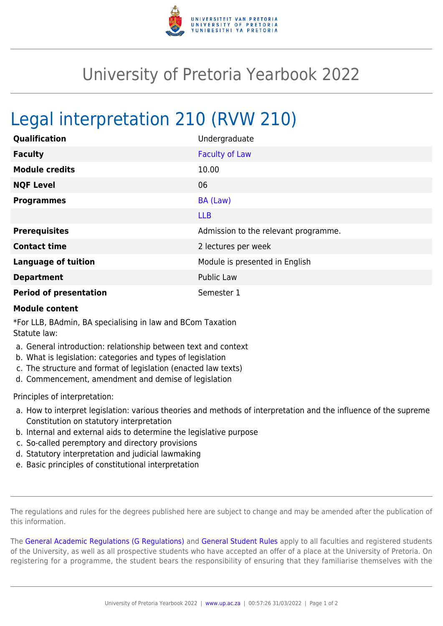

## University of Pretoria Yearbook 2022

## Legal interpretation 210 (RVW 210)

| Qualification                 | Undergraduate                        |
|-------------------------------|--------------------------------------|
| <b>Faculty</b>                | <b>Faculty of Law</b>                |
| <b>Module credits</b>         | 10.00                                |
| <b>NQF Level</b>              | 06                                   |
| <b>Programmes</b>             | BA (Law)                             |
|                               | <b>LLB</b>                           |
| <b>Prerequisites</b>          | Admission to the relevant programme. |
| <b>Contact time</b>           | 2 lectures per week                  |
| <b>Language of tuition</b>    | Module is presented in English       |
| <b>Department</b>             | <b>Public Law</b>                    |
| <b>Period of presentation</b> | Semester 1                           |

## **Module content**

\*For LLB, BAdmin, BA specialising in law and BCom Taxation Statute law:

- a. General introduction: relationship between text and context
- b. What is legislation: categories and types of legislation
- c. The structure and format of legislation (enacted law texts)
- d. Commencement, amendment and demise of legislation

Principles of interpretation:

- a. How to interpret legislation: various theories and methods of interpretation and the influence of the supreme Constitution on statutory interpretation
- b. Internal and external aids to determine the legislative purpose
- c. So-called peremptory and directory provisions
- d. Statutory interpretation and judicial lawmaking
- e. Basic principles of constitutional interpretation

The regulations and rules for the degrees published here are subject to change and may be amended after the publication of this information.

The [General Academic Regulations \(G Regulations\)](https://www.up.ac.za/yearbooks/2022/rules/view/REG) and [General Student Rules](https://www.up.ac.za/yearbooks/2022/rules/view/RUL) apply to all faculties and registered students of the University, as well as all prospective students who have accepted an offer of a place at the University of Pretoria. On registering for a programme, the student bears the responsibility of ensuring that they familiarise themselves with the